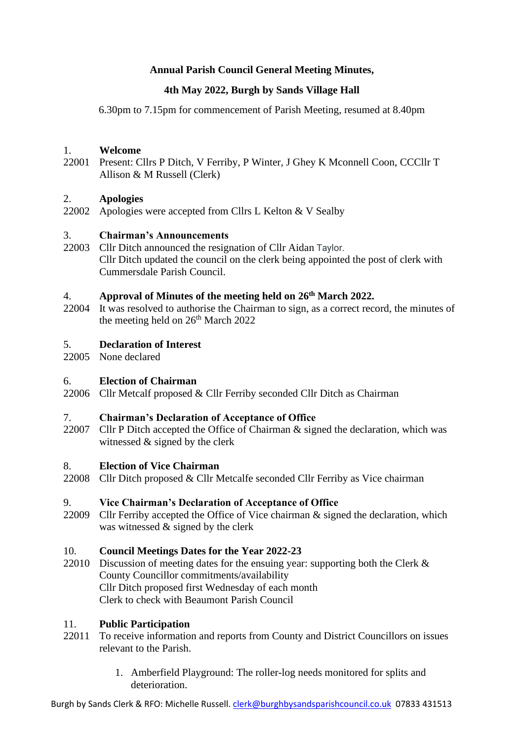# **Annual Parish Council General Meeting Minutes,**

# **4th May 2022, Burgh by Sands Village Hall**

6.30pm to 7.15pm for commencement of Parish Meeting, resumed at 8.40pm

### 1. **Welcome**

22001 Present: Cllrs P Ditch, V Ferriby, P Winter, J Ghey K Mconnell Coon, CCCllr T Allison & M Russell (Clerk)

### 2. **Apologies**

22002 Apologies were accepted from Cllrs L Kelton & V Sealby

### 3. **Chairman's Announcements**

22003 Cllr Ditch announced the resignation of Cllr Aidan Taylor. Cllr Ditch updated the council on the clerk being appointed the post of clerk with Cummersdale Parish Council.

### 4. **Approval of Minutes of the meeting held on 26th March 2022.**

22004 It was resolved to authorise the Chairman to sign, as a correct record, the minutes of the meeting held on  $26<sup>th</sup>$  March 2022

### 5. **Declaration of Interest**

22005 None declared

### 6. **Election of Chairman**

22006 Cllr Metcalf proposed & Cllr Ferriby seconded Cllr Ditch as Chairman

### 7. **Chairman's Declaration of Acceptance of Office**

22007 Cllr P Ditch accepted the Office of Chairman & signed the declaration, which was witnessed  $&$  signed by the clerk

### 8. **Election of Vice Chairman**

22008 Cllr Ditch proposed & Cllr Metcalfe seconded Cllr Ferriby as Vice chairman

## 9. **Vice Chairman's Declaration of Acceptance of Office**

22009 Cllr Ferriby accepted the Office of Vice chairman & signed the declaration, which was witnessed & signed by the clerk

### 10. **Council Meetings Dates for the Year 2022-23**

22010 Discussion of meeting dates for the ensuing year: supporting both the Clerk & County Councillor commitments/availability Cllr Ditch proposed first Wednesday of each month Clerk to check with Beaumont Parish Council

### 11. **Public Participation**

- 22011 To receive information and reports from County and District Councillors on issues relevant to the Parish.
	- 1. Amberfield Playground: The roller-log needs monitored for splits and deterioration.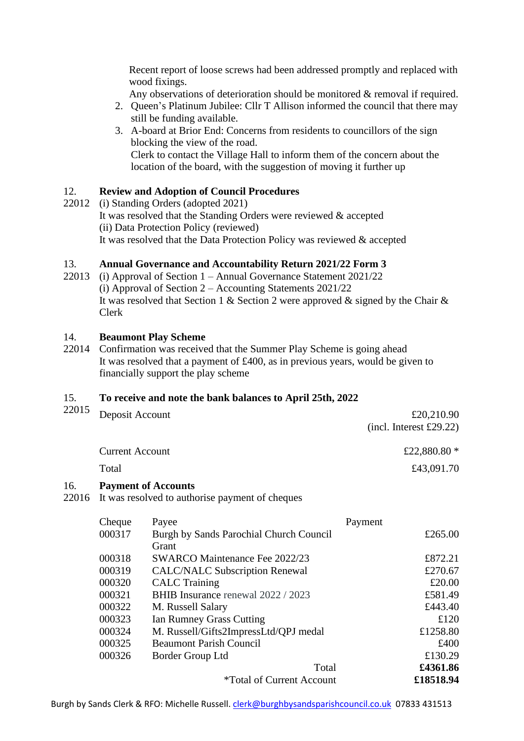Recent report of loose screws had been addressed promptly and replaced with wood fixings.

Any observations of deterioration should be monitored & removal if required.

- 2. Queen's Platinum Jubilee: Cllr T Allison informed the council that there may still be funding available.
- 3. A-board at Brior End: Concerns from residents to councillors of the sign blocking the view of the road. Clerk to contact the Village Hall to inform them of the concern about the location of the board, with the suggestion of moving it further up

### 12. **Review and Adoption of Council Procedures**

22012 (i) Standing Orders (adopted 2021) It was resolved that the Standing Orders were reviewed & accepted (ii) Data Protection Policy (reviewed) It was resolved that the Data Protection Policy was reviewed & accepted

#### 13. **Annual Governance and Accountability Return 2021/22 Form 3**

22013 (i) Approval of Section 1 – Annual Governance Statement 2021/22 (i) Approval of Section 2 – Accounting Statements 2021/22 It was resolved that Section 1 & Section 2 were approved & signed by the Chair  $\&$ Clerk

#### 14. **Beaumont Play Scheme**

22014 Confirmation was received that the Summer Play Scheme is going ahead It was resolved that a payment of £400, as in previous years, would be given to financially support the play scheme

#### 15. **To receive and note the bank balances to April 25th, 2022**

| 22015        | Deposit Account        |                                                                               | £20,210.90<br>(incl. Interest £29.22) |
|--------------|------------------------|-------------------------------------------------------------------------------|---------------------------------------|
|              | <b>Current Account</b> |                                                                               | £22,880.80 *                          |
|              | Total                  |                                                                               | £43,091.70                            |
| 16.<br>22016 |                        | <b>Payment of Accounts</b><br>It was resolved to authorise payment of cheques |                                       |
|              | Cheque                 | Payee                                                                         | Payment                               |
|              | 000317                 | Burgh by Sands Parochial Church Council<br>Grant                              | £265.00                               |
|              | 000318                 | <b>SWARCO Maintenance Fee 2022/23</b>                                         | £872.21                               |
|              | 000319                 | <b>CALC/NALC Subscription Renewal</b>                                         | £270.67                               |
|              | 000320                 | <b>CALC</b> Training                                                          | £20.00                                |
|              | 000321                 | BHIB Insurance renewal 2022 / 2023                                            | £581.49                               |
|              | 000322                 | M. Russell Salary                                                             | £443.40                               |
|              | 000323                 | Ian Rumney Grass Cutting                                                      | £120                                  |
|              | 000324                 | M. Russell/Gifts2ImpressLtd/QPJ medal                                         | £1258.80                              |
|              | 000325                 | <b>Beaumont Parish Council</b>                                                | £400                                  |
|              | 000326                 | Border Group Ltd                                                              | £130.29                               |
|              |                        | Total                                                                         | £4361.86                              |
|              |                        | <i><b>*Total of Current Account</b></i>                                       | £18518.94                             |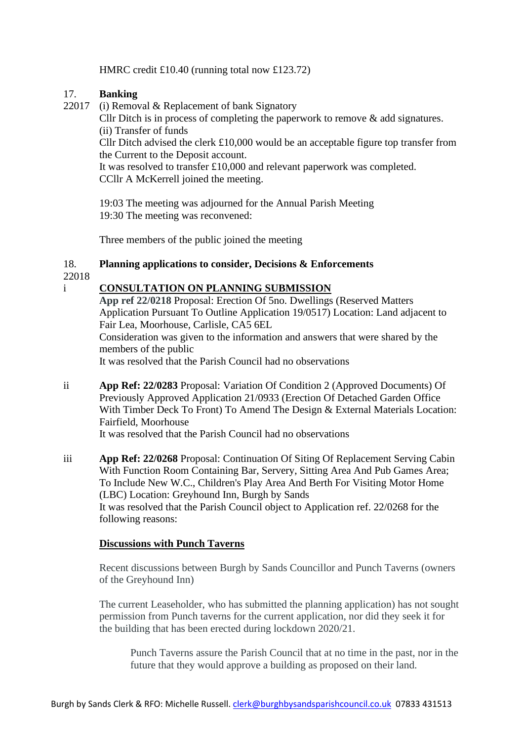HMRC credit £10.40 (running total now £123.72)

### 17. **Banking**

22017 (i) Removal & Replacement of bank Signatory

Cllr Ditch is in process of completing the paperwork to remove & add signatures. (ii) Transfer of funds

Cllr Ditch advised the clerk £10,000 would be an acceptable figure top transfer from the Current to the Deposit account.

It was resolved to transfer £10,000 and relevant paperwork was completed. CCllr A McKerrell joined the meeting.

19:03 The meeting was adjourned for the Annual Parish Meeting 19:30 The meeting was reconvened:

Three members of the public joined the meeting

### 18. **Planning applications to consider, Decisions & Enforcements**

22018

# i **CONSULTATION ON PLANNING SUBMISSION**

**App ref 22/0218** Proposal: Erection Of 5no. Dwellings (Reserved Matters Application Pursuant To Outline Application 19/0517) Location: Land adjacent to Fair Lea, Moorhouse, Carlisle, CA5 6EL Consideration was given to the information and answers that were shared by the members of the public

It was resolved that the Parish Council had no observations

ii **App Ref: 22/0283** Proposal: Variation Of Condition 2 (Approved Documents) Of Previously Approved Application 21/0933 (Erection Of Detached Garden Office With Timber Deck To Front) To Amend The Design & External Materials Location: Fairfield, Moorhouse

It was resolved that the Parish Council had no observations

iii **App Ref: 22/0268** Proposal: Continuation Of Siting Of Replacement Serving Cabin With Function Room Containing Bar, Servery, Sitting Area And Pub Games Area; To Include New W.C., Children's Play Area And Berth For Visiting Motor Home (LBC) Location: Greyhound Inn, Burgh by Sands It was resolved that the Parish Council object to Application ref. 22/0268 for the following reasons:

# **Discussions with Punch Taverns**

Recent discussions between Burgh by Sands Councillor and Punch Taverns (owners of the Greyhound Inn)

The current Leaseholder, who has submitted the planning application) has not sought permission from Punch taverns for the current application, nor did they seek it for the building that has been erected during lockdown 2020/21.

Punch Taverns assure the Parish Council that at no time in the past, nor in the future that they would approve a building as proposed on their land.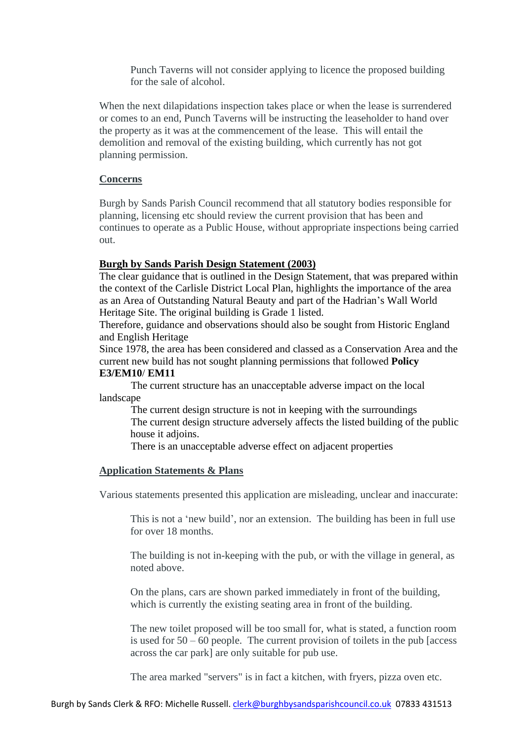Punch Taverns will not consider applying to licence the proposed building for the sale of alcohol.

When the next dilapidations inspection takes place or when the lease is surrendered or comes to an end, Punch Taverns will be instructing the leaseholder to hand over the property as it was at the commencement of the lease. This will entail the demolition and removal of the existing building, which currently has not got planning permission.

# **Concerns**

Burgh by Sands Parish Council recommend that all statutory bodies responsible for planning, licensing etc should review the current provision that has been and continues to operate as a Public House, without appropriate inspections being carried out.

# **Burgh by Sands Parish Design Statement (2003)**

The clear guidance that is outlined in the Design Statement, that was prepared within the context of the Carlisle District Local Plan, highlights the importance of the area as an Area of Outstanding Natural Beauty and part of the Hadrian's Wall World Heritage Site. The original building is Grade 1 listed.

Therefore, guidance and observations should also be sought from Historic England and English Heritage

Since 1978, the area has been considered and classed as a Conservation Area and the current new build has not sought planning permissions that followed **Policy E3/EM10**/ **EM11**

The current structure has an unacceptable adverse impact on the local landscape

The current design structure is not in keeping with the surroundings The current design structure adversely affects the listed building of the public house it adjoins.

There is an unacceptable adverse effect on adjacent properties

# **Application Statements & Plans**

Various statements presented this application are misleading, unclear and inaccurate:

This is not a 'new build', nor an extension. The building has been in full use for over 18 months.

The building is not in-keeping with the pub, or with the village in general, as noted above.

On the plans, cars are shown parked immediately in front of the building, which is currently the existing seating area in front of the building.

The new toilet proposed will be too small for, what is stated, a function room is used for  $50 - 60$  people. The current provision of toilets in the pub [access] across the car park] are only suitable for pub use.

The area marked "servers" is in fact a kitchen, with fryers, pizza oven etc.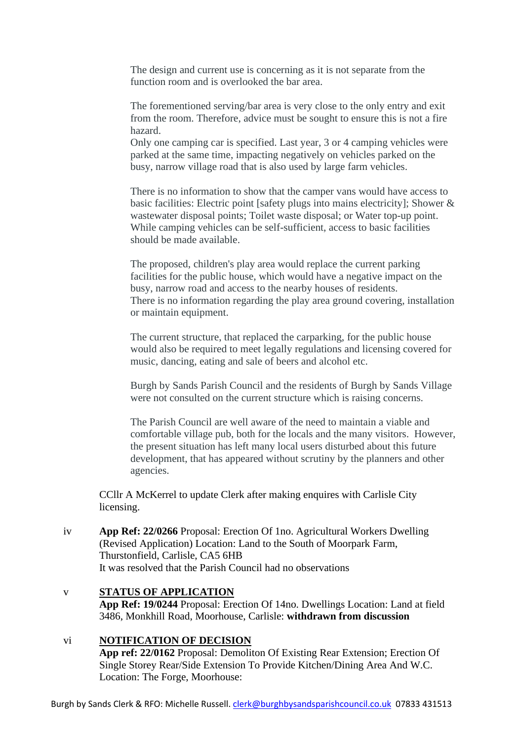The design and current use is concerning as it is not separate from the function room and is overlooked the bar area.

The forementioned serving/bar area is very close to the only entry and exit from the room. Therefore, advice must be sought to ensure this is not a fire hazard.

Only one camping car is specified. Last year, 3 or 4 camping vehicles were parked at the same time, impacting negatively on vehicles parked on the busy, narrow village road that is also used by large farm vehicles.

There is no information to show that the camper vans would have access to basic facilities: Electric point [safety plugs into mains electricity]; Shower & wastewater disposal points; Toilet waste disposal; or Water top-up point. While camping vehicles can be self-sufficient, access to basic facilities should be made available.

The proposed, children's play area would replace the current parking facilities for the public house, which would have a negative impact on the busy, narrow road and access to the nearby houses of residents. There is no information regarding the play area ground covering, installation or maintain equipment.

The current structure, that replaced the carparking, for the public house would also be required to meet legally regulations and licensing covered for music, dancing, eating and sale of beers and alcohol etc.

Burgh by Sands Parish Council and the residents of Burgh by Sands Village were not consulted on the current structure which is raising concerns.

The Parish Council are well aware of the need to maintain a viable and comfortable village pub, both for the locals and the many visitors. However, the present situation has left many local users disturbed about this future development, that has appeared without scrutiny by the planners and other agencies.

CCllr A McKerrel to update Clerk after making enquires with Carlisle City licensing.

iv **App Ref: 22/0266** Proposal: Erection Of 1no. Agricultural Workers Dwelling (Revised Application) Location: Land to the South of Moorpark Farm, Thurstonfield, Carlisle, CA5 6HB It was resolved that the Parish Council had no observations

# v **STATUS OF APPLICATION**

**App Ref: 19/0244** Proposal: Erection Of 14no. Dwellings Location: Land at field 3486, Monkhill Road, Moorhouse, Carlisle: **withdrawn from discussion**

# vi **NOTIFICATION OF DECISION**

**App ref: 22/0162** Proposal: Demoliton Of Existing Rear Extension; Erection Of Single Storey Rear/Side Extension To Provide Kitchen/Dining Area And W.C. Location: The Forge, Moorhouse: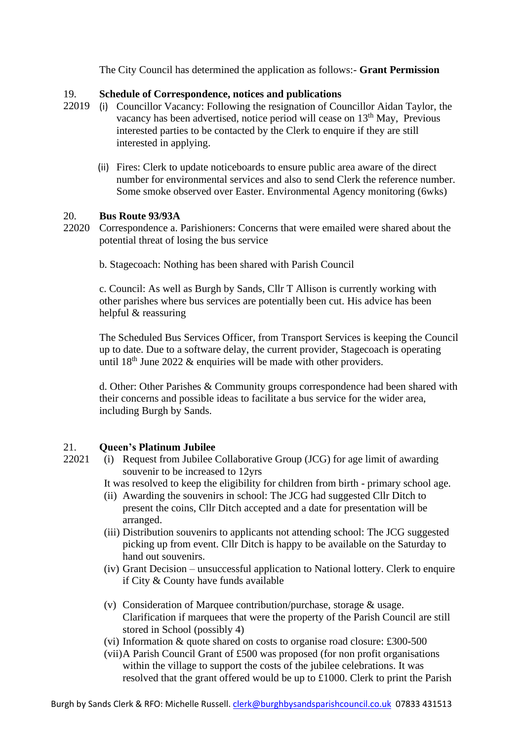The City Council has determined the application as follows:- **Grant Permission**

#### 19. **Schedule of Correspondence, notices and publications**

- 22019 (i) Councillor Vacancy: Following the resignation of Councillor Aidan Taylor, the vacancy has been advertised, notice period will cease on 13<sup>th</sup> May, Previous interested parties to be contacted by the Clerk to enquire if they are still interested in applying.
	- (ii) Fires: Clerk to update noticeboards to ensure public area aware of the direct number for environmental services and also to send Clerk the reference number. Some smoke observed over Easter. Environmental Agency monitoring (6wks)

#### 20. **Bus Route 93/93A**

22020 Correspondence a. Parishioners: Concerns that were emailed were shared about the potential threat of losing the bus service

b. Stagecoach: Nothing has been shared with Parish Council

c. Council: As well as Burgh by Sands, Cllr T Allison is currently working with other parishes where bus services are potentially been cut. His advice has been helpful & reassuring

The Scheduled Bus Services Officer, from Transport Services is keeping the Council up to date. Due to a software delay, the current provider, Stagecoach is operating until  $18<sup>th</sup>$  June 2022 & enquiries will be made with other providers.

d. Other: Other Parishes & Community groups correspondence had been shared with their concerns and possible ideas to facilitate a bus service for the wider area, including Burgh by Sands.

### 21. **Queen's Platinum Jubilee**

22021 (i) Request from Jubilee Collaborative Group (JCG) for age limit of awarding souvenir to be increased to 12yrs

It was resolved to keep the eligibility for children from birth - primary school age.

- (ii) Awarding the souvenirs in school: The JCG had suggested Cllr Ditch to present the coins, Cllr Ditch accepted and a date for presentation will be arranged.
- (iii) Distribution souvenirs to applicants not attending school: The JCG suggested picking up from event. Cllr Ditch is happy to be available on the Saturday to hand out souvenirs.
- (iv) Grant Decision unsuccessful application to National lottery. Clerk to enquire if City & County have funds available
- (v) Consideration of Marquee contribution/purchase, storage & usage. Clarification if marquees that were the property of the Parish Council are still stored in School (possibly 4)
- (vi) Information & quote shared on costs to organise road closure: £300-500
- (vii)A Parish Council Grant of £500 was proposed (for non profit organisations within the village to support the costs of the jubilee celebrations. It was resolved that the grant offered would be up to £1000. Clerk to print the Parish